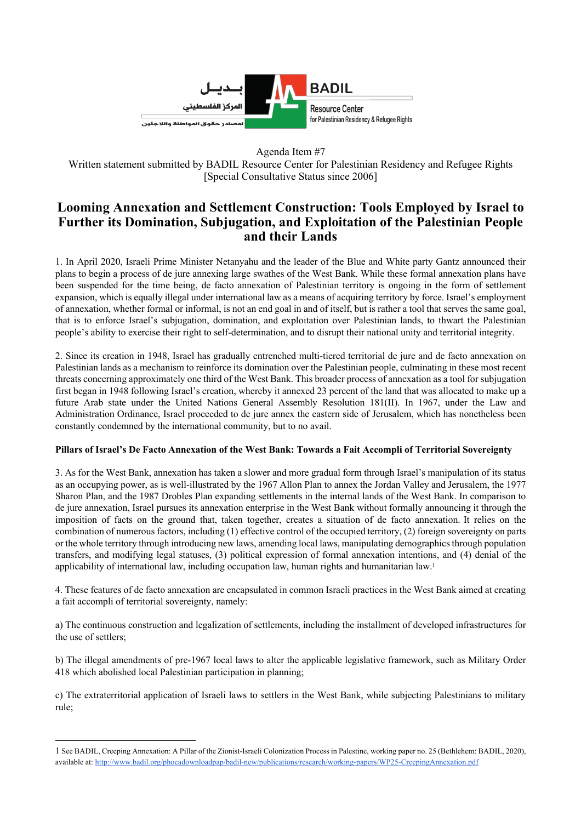

Agenda Item #7

Written statement submitted by BADIL Resource Center for Palestinian Residency and Refugee Rights [Special Consultative Status since 2006]

## **Looming Annexation and Settlement Construction: Tools Employed by Israel to Further its Domination, Subjugation, and Exploitation of the Palestinian People and their Lands**

1. In April 2020, Israeli Prime Minister Netanyahu and the leader of the Blue and White party Gantz announced their plans to begin a process of de jure annexing large swathes of the West Bank. While these formal annexation plans have been suspended for the time being, de facto annexation of Palestinian territory is ongoing in the form of settlement expansion, which is equally illegal under international law as a means of acquiring territory by force. Israel's employment of annexation, whether formal or informal, is not an end goal in and of itself, but is rather a tool that serves the same goal, that is to enforce Israel's subjugation, domination, and exploitation over Palestinian lands, to thwart the Palestinian people's ability to exercise their right to self-determination, and to disrupt their national unity and territorial integrity.

2. Since its creation in 1948, Israel has gradually entrenched multi-tiered territorial de jure and de facto annexation on Palestinian lands as a mechanism to reinforce its domination over the Palestinian people, culminating in these most recent threats concerning approximately one third of the West Bank. This broader process of annexation as a tool for subjugation first began in 1948 following Israel's creation, whereby it annexed 23 percent of the land that was allocated to make up a future Arab state under the United Nations General Assembly Resolution 181(II). In 1967, under the Law and Administration Ordinance, Israel proceeded to de jure annex the eastern side of Jerusalem, which has nonetheless been constantly condemned by the international community, but to no avail.

## **Pillars of Israel's De Facto Annexation of the West Bank: Towards a Fait Accompli of Territorial Sovereignty**

3. As for the West Bank, annexation has taken a slower and more gradual form through Israel's manipulation of its status as an occupying power, as is well-illustrated by the 1967 Allon Plan to annex the Jordan Valley and Jerusalem, the 1977 Sharon Plan, and the 1987 Drobles Plan expanding settlements in the internal lands of the West Bank. In comparison to de jure annexation, Israel pursues its annexation enterprise in the West Bank without formally announcing it through the imposition of facts on the ground that, taken together, creates a situation of de facto annexation. It relies on the combination of numerous factors, including (1) effective control of the occupied territory, (2) foreign sovereignty on parts or the whole territory through introducing new laws, amending local laws, manipulating demographics through population transfers, and modifying legal statuses, (3) political expression of formal annexation intentions, and (4) denial of the applicability of international law, including occupation law, human rights and humanitarian law.1

4. These features of de facto annexation are encapsulated in common Israeli practices in the West Bank aimed at creating a fait accompli of territorial sovereignty, namely:

a) The continuous construction and legalization of settlements, including the installment of developed infrastructures for the use of settlers;

b) The illegal amendments of pre-1967 local laws to alter the applicable legislative framework, such as Military Order 418 which abolished local Palestinian participation in planning;

c) The extraterritorial application of Israeli laws to settlers in the West Bank, while subjecting Palestinians to military rule;

<sup>1</sup> See BADIL, Creeping Annexation: A Pillar of the Zionist-Israeli Colonization Process in Palestine, working paper no. 25 (Bethlehem: BADIL, 2020), available at: http://www.badil.org/phocadownloadpap/badil-new/publications/research/working-papers/WP25-CreepingAnnexation.pdf